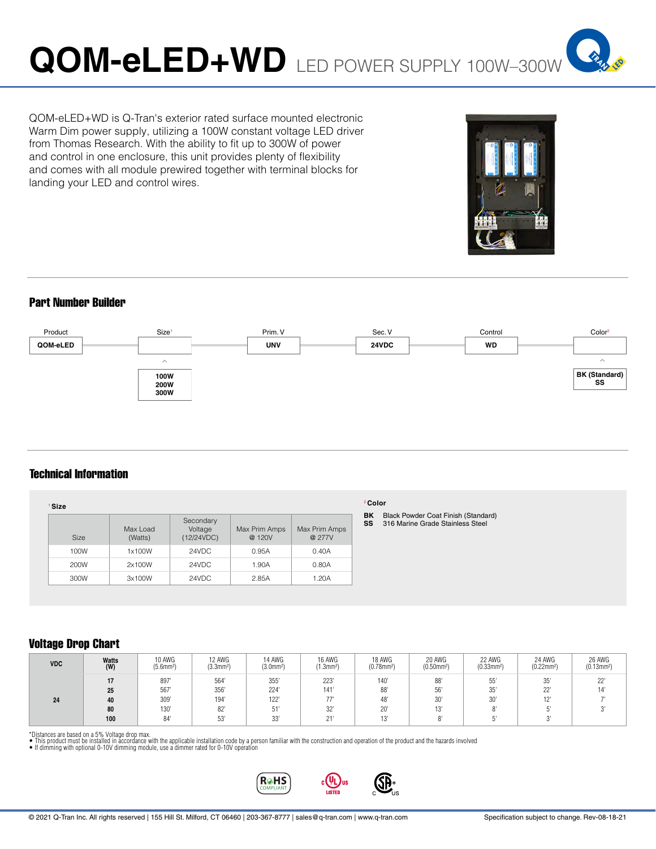**SPAR** 

# Part Number Builder

landing your LED and control wires.



# Technical Information

| ' Size<br><b>Size</b> | Max Load<br>(Watts) | Secondary<br>Voltage<br>(12/24VDC) | Max Prim Amps<br>@ 120V | Max Prim Amps<br>@ 277V |
|-----------------------|---------------------|------------------------------------|-------------------------|-------------------------|
| 100W                  | 1x100W              | 24VDC                              | 0.95A                   | 0.40A                   |
| 200W                  | 2x100W              | 24VDC                              | 1.90A                   | 0.80A                   |
| 300W                  | 3x100W              | 24VDC                              | 2.85A                   | 1.20A                   |

QOM-eLED+WD is Q-Tran's exterior rated surface mounted electronic Warm Dim power supply, utilizing a 100W constant voltage LED driver from Thomas Research. With the ability to fit up to 300W of power and control in one enclosure, this unit provides plenty of flexibility and comes with all module prewired together with terminal blocks for

#### <sup>2</sup>**Color**

**BK** Black Powder Coat Finish (Standard) **SS** 316 Marine Grade Stainless Steel

# Voltage Drop Chart

| <b>VDC</b> | Watts<br>(W) | 10 AWG<br>$(5.6$ mm <sup>2</sup> ) | 12 AWG<br>(3.3mm <sup>2</sup> ) | 14 AWG<br>$(3.0$ mm <sup>2</sup> ) | 16 AWG<br>$(1.3)$ mm <sup>2</sup> ) | 18 AWG<br>$(0.78$ mm <sup>2</sup> ) | 20 AWG<br>$(0.50$ mm <sup>2</sup> ) | 22 AWG<br>$(0.33$ mm <sup>2</sup> ) | 24 AWG<br>$(0.22$ mm <sup>2</sup> ) | 26 AWG<br>(0.13mm <sup>2</sup> ) |
|------------|--------------|------------------------------------|---------------------------------|------------------------------------|-------------------------------------|-------------------------------------|-------------------------------------|-------------------------------------|-------------------------------------|----------------------------------|
|            | 25           | 897<br>567                         | 564'<br>356'                    | 355'<br>224'                       | 223<br>141'                         | 140<br>88                           | 88'<br>56'                          | 55'<br>35'                          | 25'<br>ັບປ<br>$\sim$<br>LL          | 22"<br>14'                       |
| 24         | 40           | 309'                               | 194'                            | 122'                               |                                     | 48'                                 | 30'                                 | 30'                                 |                                     |                                  |
|            | 80           | 130'                               | 82'                             | 51'                                | 32"                                 | $20^{\circ}$                        | 13'                                 | $^{\circ}$                          |                                     |                                  |
|            | 100          | 84'                                | 53'                             | 22<br>υu                           | 21'                                 | 13'                                 |                                     |                                     |                                     |                                  |

\*Distances are based on a 5% Voltage drop max.<br>● This product must be installed in accordance with the applicable installation code by a person familiar with the construction and operation of the product and the hazards i

**R**<sup>O</sup>HS PLIAN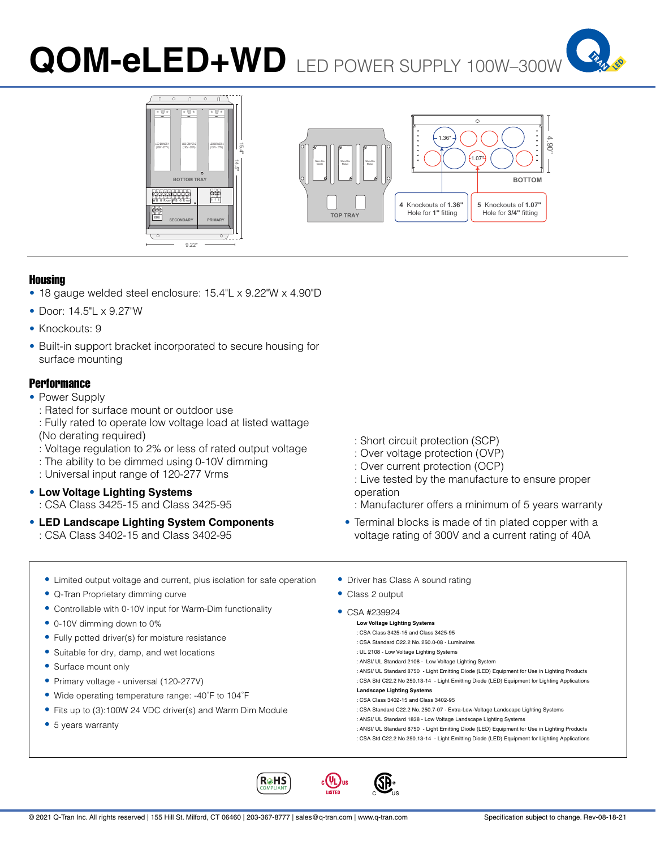# **QOM-eLED+WD** LED POWER SUPPLY 100W–300W







#### Housing

- 18 gauge welded steel enclosure: 15.4"L x 9.22"W x 4.90"D
- Door: 14.5"L x 9.27"W
- Knockouts: 9
- Built-in support bracket incorporated to secure housing for surface mounting

### **Performance**

- Power Supply
	- : Rated for surface mount or outdoor use
	- : Fully rated to operate low voltage load at listed wattage (No derating required)
	- : Voltage regulation to 2% or less of rated output voltage
	- : The ability to be dimmed using 0-10V dimming
	- : Universal input range of 120-277 Vrms
- **Low Voltage Lighting Systems** : CSA Class 3425-15 and Class 3425-95
- **LED Landscape Lighting System Components** : CSA Class 3402-15 and Class 3402-95
- : Short circuit protection (SCP)
- : Over voltage protection (OVP)
- : Over current protection (OCP)
- : Live tested by the manufacture to ensure proper operation
- : Manufacturer offers a minimum of 5 years warranty
- Terminal blocks is made of tin plated copper with a voltage rating of 300V and a current rating of 40A
- Limited output voltage and current, plus isolation for safe operation
- Q-Tran Proprietary dimming curve
- Controllable with 0-10V input for Warm-Dim functionality
- 0-10V dimming down to 0%
- Fully potted driver(s) for moisture resistance
- Suitable for dry, damp, and wet locations
- Surface mount only
- Primary voltage universal (120-277V)
- Wide operating temperature range: -40˚F to 104˚F
- Fits up to (3):100W 24 VDC driver(s) and Warm Dim Module
- 5 years warranty
- Driver has Class A sound rating
- Class 2 output
- CSA #239924
	- **Low Voltage Lighting Systems** : CSA Class 3425-15 and Class 3425-95
		- : CSA Standard C22.2 No. 250.0-08 Luminaires
	- : UL 2108 Low Voltage Lighting Systems
	- : ANSI/ UL Standard 2108 Low Voltage Lighting System
	- : ANSI/ UL Standard 8750 Light Emitting Diode (LED) Equipment for Use in Lighting Products
	- : CSA Std C22.2 No 250.13-14 Light Emitting Diode (LED) Equipment for Lighting Applications **Landscape Lighting Systems**
	- : CSA Class 3402-15 and Class 3402-95
	- : CSA Standard C22.2 No. 250.7-07 Extra-Low-Voltage Landscape Lighting Systems
	- : ANSI/ UL Standard 1838 Low Voltage Landscape Lighting Systems
	- : ANSI/ UL Standard 8750 Light Emitting Diode (LED) Equipment for Use in Lighting Products
	- : CSA Std C22.2 No 250.13-14 Light Emitting Diode (LED) Equipment for Lighting Applications

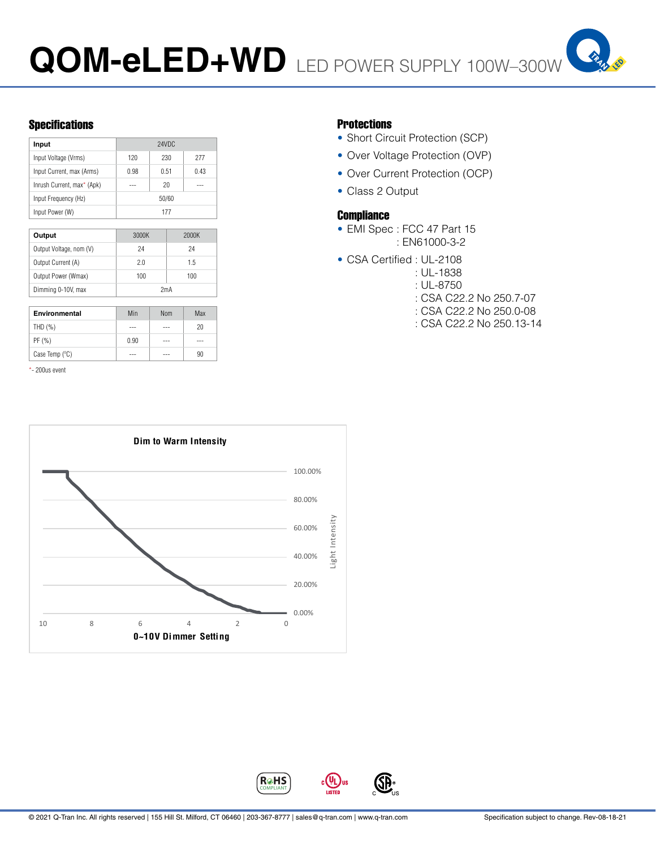

# Specifications **Protections**

| Input                      | 24VDC |      |      |
|----------------------------|-------|------|------|
| Input Voltage (Vrms)       | 120   | 230  | 277  |
| Input Current, max (Arms)  | 0.98  | 0.51 | 0.43 |
| Inrush Current, max* (Apk) |       | 20   |      |
| Input Frequency (Hz)       | 50/60 |      |      |
| Input Power (W)            | 177   |      |      |
|                            |       |      |      |

| Output                  | 3000K | 2000K |  |
|-------------------------|-------|-------|--|
| Output Voltage, nom (V) | 24    | 24    |  |
| Output Current (A)      | 2.0   | 1.5   |  |
| Output Power (Wmax)     | 100   | 100   |  |
| Dimming 0-10V, max      | 2mA   |       |  |

| Environmental           | Min  | <b>Nom</b> | Max |
|-------------------------|------|------------|-----|
| THD $(%)$               | ---  | ---        | 20  |
| PF(%)                   | 0.90 | ---        | --- |
| Case Temp $(^{\circ}C)$ |      |            | 90  |

\*- 200us event



- Short Circuit Protection (SCP)
- Over Voltage Protection (OVP)
- Over Current Protection (OCP)
- Class 2 Output

### **Compliance**

- EMI Spec : FCC 47 Part 15 : EN61000-3-2
- CSA Certified : UL-2108
	- : UL-1838
		- : UL-8750
		- : CSA C22.2 No 250.7-07
		- : CSA C22.2 No 250.0-08
		- : CSA C22.2 No 250.13-14

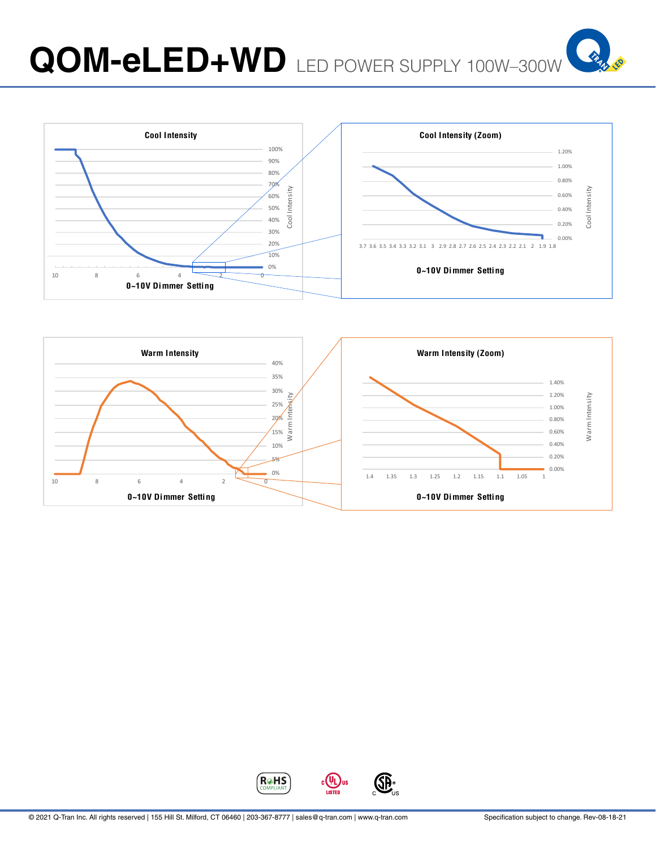



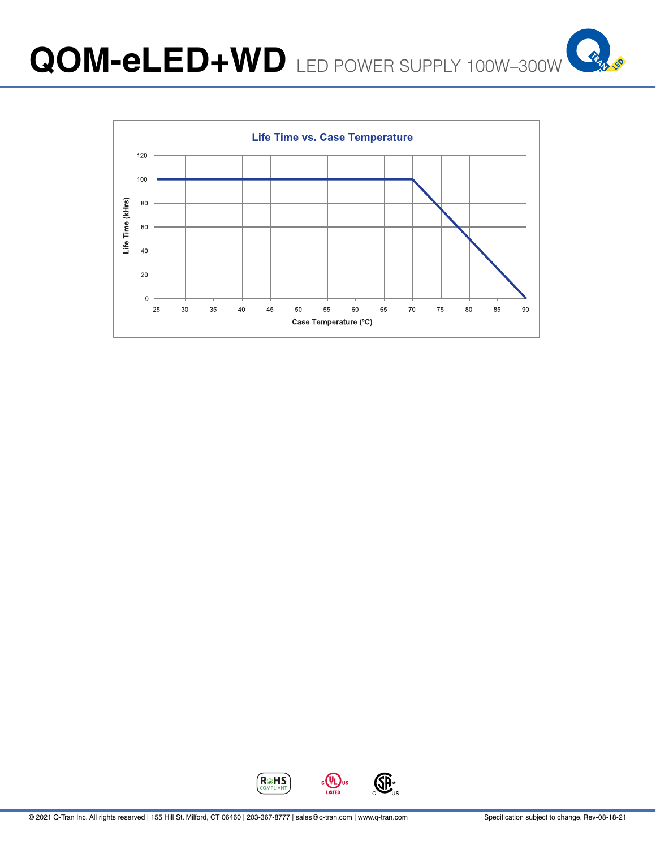